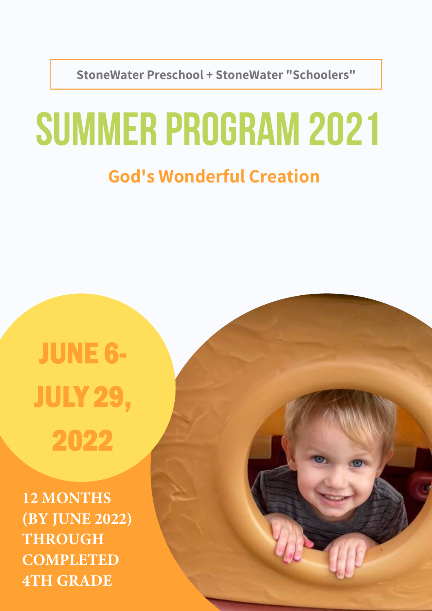**StoneWater Preschool + StoneWater "Schoolers"**

# SUMMER PROGRAM 2021

### **God's Wonderful Creation**

## JUNE 6- JULY 29, 2022

**12 MONTHS (BY JUNE 2022) THROUGH COMPLETED 4TH GRADE**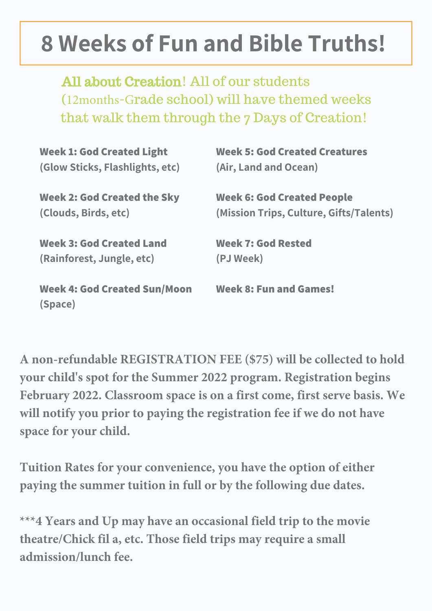## **8 Weeks of Fun and Bible Truths!**

All about Creation! All of our students (12months-Grade school) will have themed weeks that walk them through the 7 Days of Creation!

| <b>Week 1: God Created Light</b>               | <b>Week 5: God Created Creatures</b>    |
|------------------------------------------------|-----------------------------------------|
| (Glow Sticks, Flashlights, etc)                | (Air, Land and Ocean)                   |
| <b>Week 2: God Created the Sky</b>             | <b>Week 6: God Created People</b>       |
| (Clouds, Birds, etc)                           | (Mission Trips, Culture, Gifts/Talents) |
| <b>Week 3: God Created Land</b>                | <b>Week 7: God Rested</b>               |
| (Rainforest, Jungle, etc)                      | (PJ Week)                               |
| <b>Week 4: God Created Sun/Moon</b><br>(Space) | <b>Week 8: Fun and Games!</b>           |

**A non-refundable REGISTRATION FEE (\$75) will be collected to hold your child's spot for the Summer 2022 program. Registration begins February 2022. Classroom space is on a first come, first serve basis. We will notify you prior to paying the registration fee if we do not have space for your child.** 

**Tuition Rates for your convenience, you have the option of either paying the summer tuition in full or by the following due dates.** 

**\*\*\*4 Years and Up may have an occasional field trip to the movie theatre/Chick fil a, etc. Those field trips may require a small admission/lunch fee.**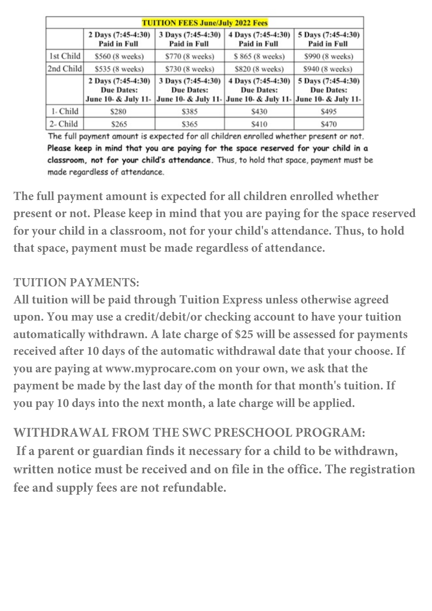| <b>TUITION FEES June/July 2022 Fees</b> |                                                                |                                                         |                                                         |                                                                |
|-----------------------------------------|----------------------------------------------------------------|---------------------------------------------------------|---------------------------------------------------------|----------------------------------------------------------------|
|                                         | 2 Days (7:45-4:30)<br>Paid in Full                             | 3 Days (7:45-4:30)<br>Paid in Full                      | 4 Days (7:45-4:30)<br>Paid in Full                      | 5 Days (7:45-4:30)<br>Paid in Full                             |
| 1st Child                               | \$560 (8 weeks)                                                | \$770 (8 weeks)                                         | \$865 (8 weeks)                                         | \$990 (8 weeks)                                                |
| 2nd Child                               | \$535 (8 weeks)                                                | \$730 (8 weeks)                                         | \$820 (8 weeks)                                         | \$940 (8 weeks)                                                |
|                                         | 2 Days (7:45-4:30)<br><b>Due Dates:</b><br>June 10- & July 11- | 3 Days (7:45-4:30)<br>Due Dates:<br>June 10- & July 11- | 4 Days (7:45-4:30)<br>Due Dates:<br>June 10- & July 11- | 5 Days (7:45-4:30)<br><b>Due Dates:</b><br>June 10- & July 11- |
| 1- Child                                | \$280                                                          | \$385                                                   | \$430                                                   | \$495                                                          |
| $2$ - Child                             | \$265                                                          | \$365                                                   | \$410                                                   | \$470                                                          |

The full payment amount is expected for all children enrolled whether present or not. Please keep in mind that you are paying for the space reserved for your child in a classroom, not for your child's attendance. Thus, to hold that space, payment must be made regardless of attendance.

**The full payment amount is expected for all children enrolled whether present or not. Please keep in mind that you are paying for the space reserved for your child in a classroom, not for your child's attendance. Thus, to hold that space, payment must be made regardless of attendance.** 

#### **TUITION PAYMENTS:**

**All tuition will be paid through Tuition Express unless otherwise agreed upon. You may use a credit/debit/or checking account to have your tuition automatically withdrawn. A late charge of \$25 will be assessed for payments received after 10 days of the automatic withdrawal date that your choose. If you are paying at www.myprocare.com on your own, we ask that the payment be made by the last day of the month for that month's tuition. If you pay 10 days into the next month, a late charge will be applied.** 

#### **WITHDRAWAL FROM THE SWC PRESCHOOL PROGRAM:**

 **If a parent or guardian finds it necessary for a child to be withdrawn, written notice must be received and on file in the office. The registration fee and supply fees are not refundable.**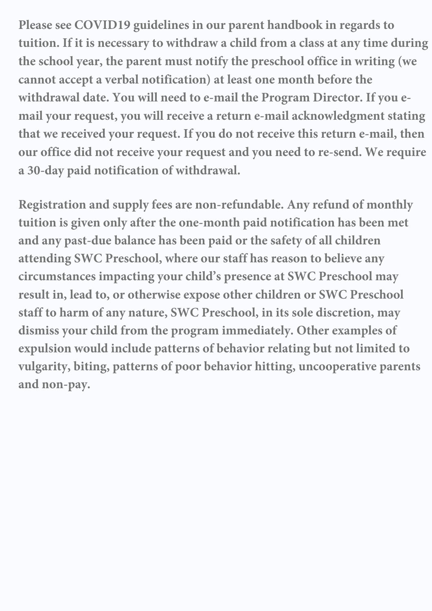**Please see COVID19 guidelines in our parent handbook in regards to tuition. If it is necessary to withdraw a child from a class at any time during the school year, the parent must notify the preschool office in writing (we cannot accept a verbal notification) at least one month before the withdrawal date. You will need to e-mail the Program Director. If you email your request, you will receive a return e-mail acknowledgment stating that we received your request. If you do not receive this return e-mail, then our office did not receive your request and you need to re-send. We require a 30-day paid notification of withdrawal.** 

**Registration and supply fees are non-refundable. Any refund of monthly tuition is given only after the one-month paid notification has been met and any past-due balance has been paid or the safety of all children attending SWC Preschool, where our staff has reason to believe any circumstances impacting your child's presence at SWC Preschool may result in, lead to, or otherwise expose other children or SWC Preschool staff to harm of any nature, SWC Preschool, in its sole discretion, may dismiss your child from the program immediately. Other examples of expulsion would include patterns of behavior relating but not limited to vulgarity, biting, patterns of poor behavior hitting, uncooperative parents and non-pay.**